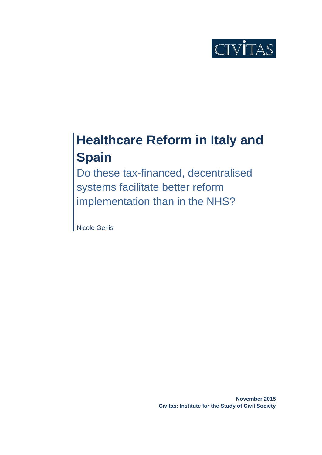

# **Healthcare Reform in Italy and Spain**

Do these tax-financed, decentralised systems facilitate better reform implementation than in the NHS?

Nicole Gerlis

**November 2015 Civitas: Institute for the Study of Civil Society**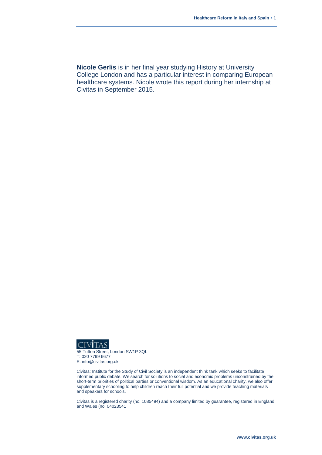**Nicole Gerlis** is in her final year studying History at University College London and has a particular interest in comparing European healthcare systems. Nicole wrote this report during her internship at Civitas in September 2015.



55 Tufton Street, London SW1P 3QL T: 020 7799 6677 E: info@civitas.org.uk

Civitas: Institute for the Study of Civil Society is an independent think tank which seeks to facilitate informed public debate. We search for solutions to social and economic problems unconstrained by the short-term priorities of political parties or conventional wisdom. As an educational charity, we also offer supplementary schooling to help children reach their full potential and we provide teaching materials and speakers for schools.

Civitas is a registered charity (no. 1085494) and a company limited by guarantee, registered in England and Wales (no. 04023541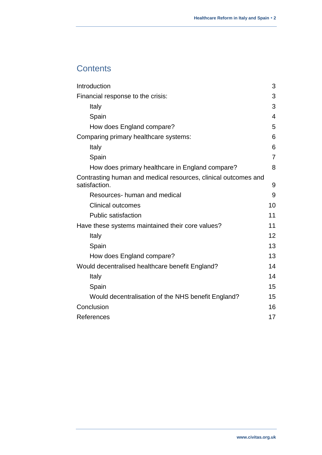# **Contents**

<span id="page-2-0"></span>

| Introduction                                                                    | 3              |
|---------------------------------------------------------------------------------|----------------|
| Financial response to the crisis:                                               | 3              |
| Italy                                                                           | 3              |
| Spain                                                                           | 4              |
| How does England compare?                                                       | 5              |
| Comparing primary healthcare systems:                                           | 6              |
| Italy                                                                           | 6              |
| Spain                                                                           | $\overline{7}$ |
| How does primary healthcare in England compare?                                 | 8              |
| Contrasting human and medical resources, clinical outcomes and<br>satisfaction. | 9              |
| Resources- human and medical                                                    | 9              |
| <b>Clinical outcomes</b>                                                        | 10             |
| <b>Public satisfaction</b>                                                      | 11             |
| Have these systems maintained their core values?                                | 11             |
| Italy                                                                           | 12             |
| Spain                                                                           | 13             |
| How does England compare?                                                       | 13             |
| Would decentralised healthcare benefit England?                                 | 14             |
| Italy                                                                           | 14             |
| Spain                                                                           | 15             |
| Would decentralisation of the NHS benefit England?                              | 15             |
| Conclusion                                                                      | 16             |
| References                                                                      | 17             |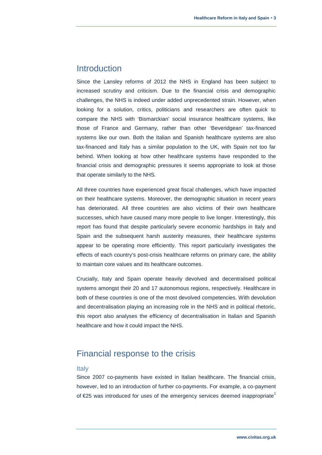## Introduction

Since the Lansley reforms of 2012 the NHS in England has been subject to increased scrutiny and criticism. Due to the financial crisis and demographic challenges, the NHS is indeed under added unprecedented strain. However, when looking for a solution, critics, politicians and researchers are often quick to compare the NHS with 'Bismarckian' social insurance healthcare systems, like those of France and Germany, rather than other 'Beveridgean' tax-financed systems like our own. Both the Italian and Spanish healthcare systems are also tax-financed and Italy has a similar population to the UK, with Spain not too far behind. When looking at how other healthcare systems have responded to the financial crisis and demographic pressures it seems appropriate to look at those that operate similarly to the NHS.

All three countries have experienced great fiscal challenges, which have impacted on their healthcare systems. Moreover, the demographic situation in recent years has deteriorated. All three countries are also victims of their own healthcare successes, which have caused many more people to live longer. Interestingly, this report has found that despite particularly severe economic hardships in Italy and Spain and the subsequent harsh austerity measures, their healthcare systems appear to be operating more efficiently. This report particularly investigates the effects of each country's post-crisis healthcare reforms on primary care, the ability to maintain core values and its healthcare outcomes.

Crucially, Italy and Spain operate heavily devolved and decentralised political systems amongst their 20 and 17 autonomous regions, respectively. Healthcare in both of these countries is one of the most devolved competencies. With devolution and decentralisation playing an increasing role in the NHS and in political rhetoric, this report also analyses the efficiency of decentralisation in Italian and Spanish healthcare and how it could impact the NHS.

# <span id="page-3-0"></span>Financial response to the crisis

#### <span id="page-3-1"></span>Italy

Since 2007 co-payments have existed in Italian healthcare. The financial crisis, however, led to an introduction of further co-payments. For example, a co-payment of  $E25$  was introduced for uses of the emergency services deemed inappropriate<sup>1</sup>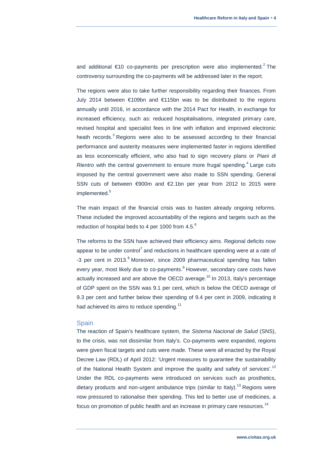and additional  $\epsilon$ 10 co-payments per prescription were also implemented.<sup>2</sup> The controversy surrounding the co-payments will be addressed later in the report.

The regions were also to take further responsibility regarding their finances. From July 2014 between €109bn and €115bn was to be distributed to the regions annually until 2016, in accordance with the 2014 Pact for Health, in exchange for increased efficiency, such as: reduced hospitalisations, integrated primary care, revised hospital and specialist fees in line with inflation and improved electronic heath records.<sup>3</sup> Regions were also to be assessed according to their financial performance and austerity measures were implemented faster in regions identified as less economically efficient, who also had to sign recovery plans or *Piani di*  Rientro with the central government to ensure more frugal spending.<sup>4</sup> Large cuts imposed by the central government were also made to SSN spending. General SSN cuts of between €900m and €2.1bn per year from 2012 to 2015 were implemented.<sup>5</sup>

The main impact of the financial crisis was to hasten already ongoing reforms. These included the improved accountability of the regions and targets such as the reduction of hospital beds to 4 per 1000 from 4.5.<sup>6</sup>

The reforms to the SSN have achieved their efficiency aims. Regional deficits now appear to be under control<sup>7</sup> and reductions in healthcare spending were at a rate of -3 per cent in 2013.<sup>8</sup> Moreover, since 2009 pharmaceutical spending has fallen every year, most likely due to co-payments.<sup>9</sup> However, secondary care costs have actually increased and are above the OECD average. $^{10}$  In 2013, Italy's percentage of GDP spent on the SSN was 9.1 per cent, which is below the OECD average of 9.3 per cent and further below their spending of 9.4 per cent in 2009, indicating it had achieved its aims to reduce spending.<sup>11</sup>

#### <span id="page-4-0"></span>**Spain**

The reaction of Spain's healthcare system, the *Sistema Nacional de Salud* (SNS), to the crisis, was not dissimilar from Italy's. Co-payments were expanded, regions were given fiscal targets and cuts were made. These were all enacted by the Royal Decree Law (RDL) of April 2012: 'Urgent measures to guarantee the sustainability of the National Health System and improve the quality and safety of services'.<sup>12</sup> Under the RDL co-payments were introduced on services such as prosthetics, dietary products and non-urgent ambulance trips (similar to Italy).<sup>13</sup> Regions were now pressured to rationalise their spending. This led to better use of medicines, a focus on promotion of public health and an increase in primary care resources. $14$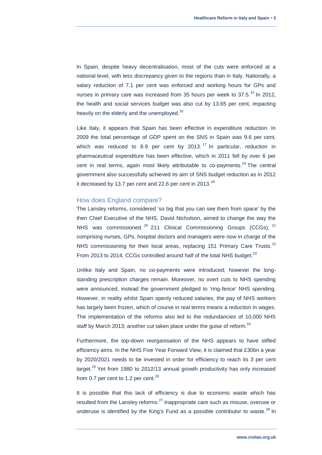In Spain, despite heavy decentralisation, most of the cuts were enforced at a national level, with less discrepancy given to the regions than in Italy. Nationally, a salary reduction of 7.1 per cent was enforced and working hours for GPs and nurses in primary care was increased from 35 hours per week to  $37.5$ .<sup>15</sup> In 2012, the health and social services budget was also cut by 13.65 per cent, impacting heavily on the elderly and the unemployed.<sup>16</sup>

Like Italy, it appears that Spain has been effective in expenditure reduction. In 2009 the total percentage of GDP spent on the SNS in Spain was 9.6 per cent, which was reduced to 8.9 per cent by  $2013$ .<sup>17</sup> In particular, reduction in pharmaceutical expenditure has been effective, which in 2011 fell by over 6 per cent in real terms, again most likely attributable to co-payments.<sup>18</sup> The central government also successfully achieved its aim of SNS budget reduction as in 2012 it decreased by 13.7 per cent and 22.6 per cent in 2013.<sup>19</sup>

#### <span id="page-5-0"></span>How does England compare?

The Lansley reforms, considered 'so big that you can see them from space' by the then Chief Executive of the NHS, David Nicholson, aimed to change the way the NHS was commissioned.  $20$  211 Clinical Commissioning Groups (CCGs),  $21$ comprising nurses, GPs, hospital doctors and managers were now in charge of the NHS commissioning for their local areas, replacing 151 Primary Care Trusts.<sup>22</sup> From 2013 to 2014, CCGs controlled around half of the total NHS budget.<sup>23</sup>

Unlike Italy and Spain, no co-payments were introduced; however the longstanding prescription charges remain. Moreover, no overt cuts to NHS spending were announced, instead the government pledged to 'ring-fence' NHS spending. However, in reality whilst Spain openly reduced salaries, the pay of NHS workers has largely been frozen, which of course in real terms means a reduction in wages. The implementation of the reforms also led to the redundancies of 10,000 NHS staff by March 2013; another cut taken place under the guise of reform.<sup>24</sup>

Furthermore, the top-down reorganisation of the NHS appears to have stifled efficiency aims. In the NHS Five Year Forward View, it is claimed that £30bn a year by 2020/2021 needs to be invested in order for efficiency to reach its 3 per cent target. $^{25}$  Yet from 1980 to 2012/13 annual growth productivity has only increased from 0.7 per cent to 1.2 per cent. $26$ 

It is possible that this lack of efficiency is due to economic waste which has resulted from the Lansley reforms. $^{27}$  Inappropriate care such as misuse, overuse or underuse is identified by the King's Fund as a possible contributor to waste. $^{28}$  In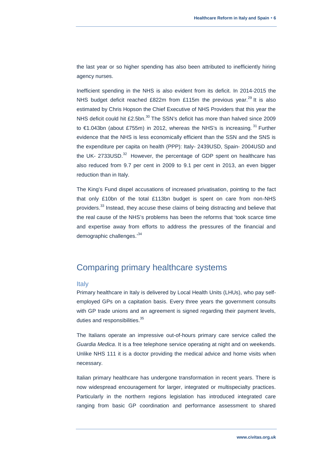the last year or so higher spending has also been attributed to inefficiently hiring agency nurses.

Inefficient spending in the NHS is also evident from its deficit. In 2014-2015 the NHS budget deficit reached £822m from £115m the previous year.<sup>29</sup> It is also estimated by Chris Hopson the Chief Executive of NHS Providers that this year the NHS deficit could hit £2.5bn.<sup>30</sup> The SSN's deficit has more than halved since 2009 to €1.043bn (about £755m) in 2012, whereas the NHS's is increasing.  $31$  Further evidence that the NHS is less economically efficient than the SSN and the SNS is the expenditure per capita on health (PPP): Italy- 2439USD, Spain- 2004USD and the UK- 2733USD. $32$  However, the percentage of GDP spent on healthcare has also reduced from 9.7 per cent in 2009 to 9.1 per cent in 2013, an even bigger reduction than in Italy.

The King's Fund dispel accusations of increased privatisation, pointing to the fact that only £10bn of the total £113bn budget is spent on care from non-NHS providers.<sup>33</sup> Instead, they accuse these claims of being distracting and believe that the real cause of the NHS's problems has been the reforms that 'took scarce time and expertise away from efforts to address the pressures of the financial and demographic challenges.'<sup>34</sup>

# <span id="page-6-0"></span>Comparing primary healthcare systems

#### <span id="page-6-1"></span>**Italy**

Primary healthcare in Italy is delivered by Local Health Units (LHUs), who pay selfemployed GPs on a capitation basis. Every three years the government consults with GP trade unions and an agreement is signed regarding their payment levels. duties and responsibilities.<sup>35</sup>

The Italians operate an impressive out-of-hours primary care service called the *Guardia Medica*. It is a free telephone service operating at night and on weekends. Unlike NHS 111 it is a doctor providing the medical advice and home visits when necessary.

Italian primary healthcare has undergone transformation in recent years. There is now widespread encouragement for larger, integrated or multispecialty practices. Particularly in the northern regions legislation has introduced integrated care ranging from basic GP coordination and performance assessment to shared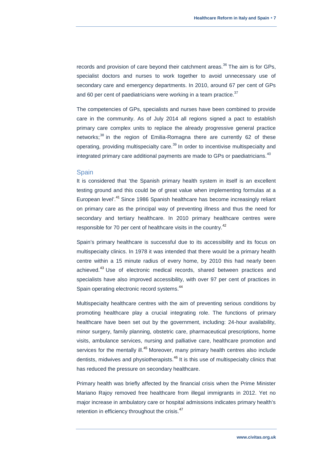records and provision of care beyond their catchment areas. $36$  The aim is for GPs, specialist doctors and nurses to work together to avoid unnecessary use of secondary care and emergency departments. In 2010, around 67 per cent of GPs and 60 per cent of paediatricians were working in a team practice.<sup>37</sup>

The competencies of GPs, specialists and nurses have been combined to provide care in the community. As of July 2014 all regions signed a pact to establish primary care complex units to replace the already progressive general practice networks;<sup>38</sup> in the region of Emilia-Romagna there are currently 62 of these operating, providing multispecialty care.<sup>39</sup> In order to incentivise multispecialty and integrated primary care additional payments are made to GPs or paediatricians.<sup>40</sup>

#### <span id="page-7-0"></span>Spain

It is considered that 'the Spanish primary health system in itself is an excellent testing ground and this could be of great value when implementing formulas at a European level'.<sup>41</sup> Since 1986 Spanish healthcare has become increasingly reliant on primary care as the principal way of preventing illness and thus the need for secondary and tertiary healthcare. In 2010 primary healthcare centres were responsible for 70 per cent of healthcare visits in the country.<sup>42</sup>

Spain's primary healthcare is successful due to its accessibility and its focus on multispecialty clinics. In 1978 it was intended that there would be a primary health centre within a 15 minute radius of every home, by 2010 this had nearly been achieved.<sup>43</sup> Use of electronic medical records, shared between practices and specialists have also improved accessibility, with over 97 per cent of practices in Spain operating electronic record systems.<sup>44</sup>

Multispecialty healthcare centres with the aim of preventing serious conditions by promoting healthcare play a crucial integrating role. The functions of primary healthcare have been set out by the government, including: 24-hour availability, minor surgery, family planning, obstetric care, pharmaceutical prescriptions, home visits, ambulance services, nursing and palliative care, healthcare promotion and services for the mentally ill.<sup>45</sup> Moreover, many primary health centres also include dentists, midwives and physiotherapists.<sup>46</sup> It is this use of multispecialty clinics that has reduced the pressure on secondary healthcare.

Primary health was briefly affected by the financial crisis when the Prime Minister Mariano Rajoy removed free healthcare from illegal immigrants in 2012. Yet no major increase in ambulatory care or hospital admissions indicates primary health's retention in efficiency throughout the crisis.<sup>47</sup>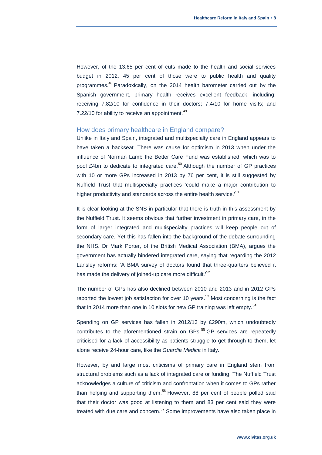However, of the 13.65 per cent of cuts made to the health and social services budget in 2012, 45 per cent of those were to public health and quality programmes.<sup>48</sup> Paradoxically, on the 2014 health barometer carried out by the Spanish government, primary health receives excellent feedback, including; receiving 7.82/10 for confidence in their doctors; 7.4/10 for home visits; and 7.22/10 for ability to receive an appointment. $49$ 

#### <span id="page-8-0"></span>How does primary healthcare in England compare?

Unlike in Italy and Spain, integrated and multispecialty care in England appears to have taken a backseat. There was cause for optimism in 2013 when under the influence of Norman Lamb the Better Care Fund was established, which was to pool  $E$ 4bn to dedicate to integrated care.<sup>50</sup> Although the number of GP practices with 10 or more GPs increased in 2013 by 76 per cent, it is still suggested by Nuffield Trust that multispecialty practices 'could make a major contribution to higher productivity and standards across the entire health service.<sup>51</sup>

It is clear looking at the SNS in particular that there is truth in this assessment by the Nuffield Trust. It seems obvious that further investment in primary care, in the form of larger integrated and multispecialty practices will keep people out of secondary care. Yet this has fallen into the background of the debate surrounding the NHS. Dr Mark Porter, of the British Medical Association (BMA), argues the government has actually hindered integrated care, saying that regarding the 2012 Lansley reforms: 'A BMA survey of doctors found that three-quarters believed it has made the delivery of joined-up care more difficult.<sup>52</sup>

The number of GPs has also declined between 2010 and 2013 and in 2012 GPs reported the lowest job satisfaction for over 10 years. $53$  Most concerning is the fact that in 2014 more than one in 10 slots for new GP training was left empty.<sup>54</sup>

Spending on GP services has fallen in 2012/13 by £290m, which undoubtedly contributes to the aforementioned strain on  $GPs$ .<sup>55</sup>  $GP$  services are repeatedly criticised for a lack of accessibility as patients struggle to get through to them, let alone receive 24-hour care, like the *Guardia Medica* in Italy.

However, by and large most criticisms of primary care in England stem from structural problems such as a lack of integrated care or funding. The Nuffield Trust acknowledges a culture of criticism and confrontation when it comes to GPs rather than helping and supporting them.<sup>56</sup> However, 88 per cent of people polled said that their doctor was good at listening to them and 83 per cent said they were treated with due care and concern.<sup>57</sup> Some improvements have also taken place in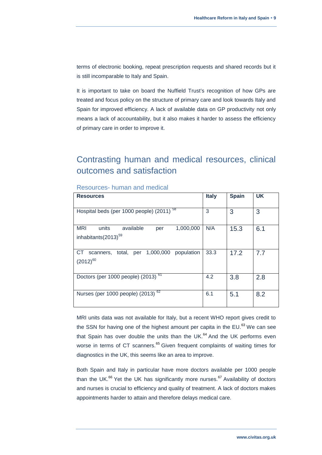terms of electronic booking, repeat prescription requests and shared records but it is still incomparable to Italy and Spain.

It is important to take on board the Nuffield Trust's recognition of how GPs are treated and focus policy on the structure of primary care and look towards Italy and Spain for improved efficiency. A lack of available data on GP productivity not only means a lack of accountability, but it also makes it harder to assess the efficiency of primary care in order to improve it.

# <span id="page-9-0"></span>Contrasting human and medical resources, clinical outcomes and satisfaction

| <b>Resources</b>                                                                        | <b>Italy</b> | <b>Spain</b> | <b>UK</b> |
|-----------------------------------------------------------------------------------------|--------------|--------------|-----------|
| 58<br>Hospital beds (per 1000 people) (2011)                                            | 3            | 3            | 3         |
| <b>MRI</b><br>available<br>units<br>1,000,000<br>per<br>inhabitants(2013) <sup>59</sup> | N/A          | 15.3         | 6.1       |
| per 1,000,000<br>population<br>CT.<br>total.<br>scanners,<br>$(2012)^{60}$              | 33.3         | 17.2         | 7.7       |
| 61<br>Doctors (per 1000 people) (2013)                                                  | 4.2          | 3.8          | 2.8       |
| Nurses (per 1000 people) $(2013)^{62}$                                                  | 6.1          | 5.1          | 8.2       |

<span id="page-9-1"></span>Resources- human and medical

MRI units data was not available for Italy, but a recent WHO report gives credit to the SSN for having one of the highest amount per capita in the  $EU^{63}$  We can see that Spain has over double the units than the UK. $^{64}$  And the UK performs even worse in terms of CT scanners.<sup>65</sup> Given frequent complaints of waiting times for diagnostics in the UK, this seems like an area to improve.

Both Spain and Italy in particular have more doctors available per 1000 people than the UK. $^{66}$  Yet the UK has significantly more nurses.<sup>67</sup> Availability of doctors and nurses is crucial to efficiency and quality of treatment. A lack of doctors makes appointments harder to attain and therefore delays medical care.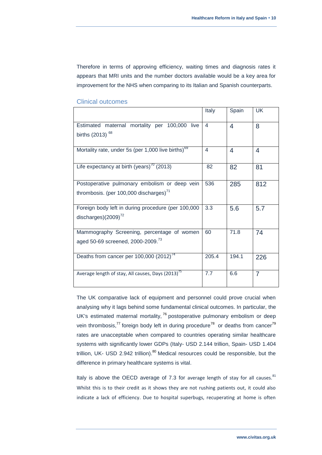Therefore in terms of approving efficiency, waiting times and diagnosis rates it appears that MRI units and the number doctors available would be a key area for improvement for the NHS when comparing to its Italian and Spanish counterparts.

|                                                                | Italy | Spain | <b>UK</b>      |
|----------------------------------------------------------------|-------|-------|----------------|
| Estimated maternal mortality per 100,000 live                  | 4     | 4     | 8              |
| births $(2013)$ <sup>68</sup>                                  |       |       |                |
| Mortality rate, under 5s (per 1,000 live births) <sup>69</sup> | 4     | 4     | 4              |
| Life expectancy at birth (years) <sup>70</sup> (2013)          | 82    | 82    | 81             |
| Postoperative pulmonary embolism or deep vein                  | 536   | 285   | 812            |
| thrombosis. (per 100,000 discharges) <sup>71</sup>             |       |       |                |
| Foreign body left in during procedure (per 100,000             | 3.3   | 5.6   | 5.7            |
| discharges) $(2009)^{72}$                                      |       |       |                |
| Mammography Screening, percentage of women                     | 60    | 71.8  | 74             |
| aged 50-69 screened, 2000-2009. <sup>73</sup>                  |       |       |                |
| Deaths from cancer per $100,000$ $(2012)^{74}$                 | 205.4 | 194.1 | 226            |
| Average length of stay, All causes, Days (2013) <sup>75</sup>  | 7.7   | 6.6   | $\overline{7}$ |

#### <span id="page-10-0"></span>Clinical outcomes

The UK comparative lack of equipment and personnel could prove crucial when analysing why it lags behind some fundamental clinical outcomes. In particular, the UK's estimated maternal mortality,  $76$  postoperative pulmonary embolism or deep vein thrombosis,<sup>77</sup> foreign body left in during procedure<sup>78</sup> or deaths from cancer<sup>79</sup> rates are unacceptable when compared to countries operating similar healthcare systems with significantly lower GDPs (Italy- USD 2.144 trillion, Spain- USD 1.404 trillion, UK- USD 2.942 trillion). $80$  Medical resources could be responsible, but the difference in primary healthcare systems is vital.

Italy is above the OECD average of 7.3 for average length of stay for all causes. $81$ Whilst this is to their credit as it shows they are not rushing patients out, it could also indicate a lack of efficiency. Due to hospital superbugs, recuperating at home is often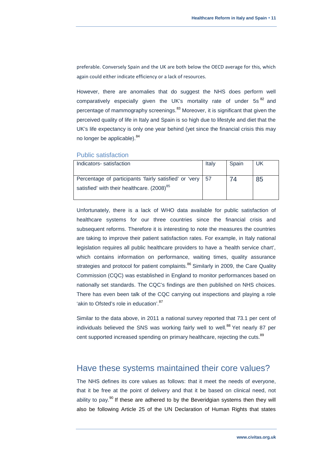preferable. Conversely Spain and the UK are both below the OECD average for this, which again could either indicate efficiency or a lack of resources.

However, there are anomalies that do suggest the NHS does perform well comparatively especially given the UK's mortality rate of under 5s<sup>82</sup> and percentage of mammography screenings.<sup>83</sup> Moreover, it is significant that given the perceived quality of life in Italy and Spain is so high due to lifestyle and diet that the UK's life expectancy is only one year behind (yet since the financial crisis this may no longer be applicable). <sup>84</sup>

#### <span id="page-11-0"></span>Public satisfaction

| Indicators-satisfaction                                     | Italy | Spain | UK |
|-------------------------------------------------------------|-------|-------|----|
|                                                             |       |       |    |
| Percentage of participants 'fairly satisfied' or 'very   57 |       |       | 85 |
| satisfied' with their healthcare. (2008) <sup>85</sup>      |       |       |    |
|                                                             |       |       |    |

Unfortunately, there is a lack of WHO data available for public satisfaction of healthcare systems for our three countries since the financial crisis and subsequent reforms. Therefore it is interesting to note the measures the countries are taking to improve their patient satisfaction rates. For example, in Italy national legislation requires all public healthcare providers to have a 'health service chart', which contains information on performance, waiting times, quality assurance strategies and protocol for patient complaints.<sup>86</sup> Similarly in 2009, the Care Quality Commission (CQC) was established in England to monitor performances based on nationally set standards. The CQC's findings are then published on NHS choices. There has even been talk of the CQC carrying out inspections and playing a role 'akin to Ofsted's role in education'. 87

Similar to the data above, in 2011 a national survey reported that 73.1 per cent of individuals believed the SNS was working fairly well to well.<sup>88</sup> Yet nearly 87 per cent supported increased spending on primary healthcare, rejecting the cuts.<sup>89</sup>

# <span id="page-11-1"></span>Have these systems maintained their core values?

The NHS defines its core values as follows: that it meet the needs of everyone, that it be free at the point of delivery and that it be based on clinical need, not ability to pay.<sup>90</sup> If these are adhered to by the Beveridgian systems then they will also be following Article 25 of the UN Declaration of Human Rights that states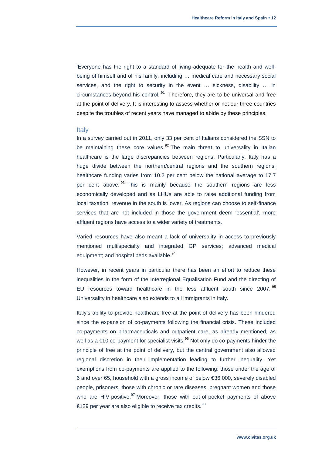'Everyone has the right to a standard of living adequate for the health and wellbeing of himself and of his family, including … medical care and necessary social services, and the right to security in the event ... sickness, disability ... in circumstances beyond his control.<sup>, 91</sup> Therefore, they are to be universal and free at the point of delivery. It is interesting to assess whether or not our three countries despite the troubles of recent years have managed to abide by these principles.

#### <span id="page-12-0"></span>**Italy**

In a survey carried out in 2011, only 33 per cent of Italians considered the SSN to be maintaining these core values.  $92$  The main threat to universality in Italian healthcare is the large discrepancies between regions. Particularly, Italy has a huge divide between the northern/central regions and the southern regions; healthcare funding varies from 10.2 per cent below the national average to 17.7 per cent above.<sup>93</sup> This is mainly because the southern regions are less economically developed and as LHUs are able to raise additional funding from local taxation, revenue in the south is lower. As regions can choose to self-finance services that are not included in those the government deem 'essential', more affluent regions have access to a wider variety of treatments.

Varied resources have also meant a lack of universality in access to previously mentioned multispecialty and integrated GP services; advanced medical equipment; and hospital beds available.<sup>94</sup>

However, in recent years in particular there has been an effort to reduce these inequalities in the form of the Interregional Equalisation Fund and the directing of EU resources toward healthcare in the less affluent south since 2007.<sup>95</sup> Universality in healthcare also extends to all immigrants in Italy.

Italy's ability to provide healthcare free at the point of delivery has been hindered since the expansion of co-payments following the financial crisis. These included co-payments on pharmaceuticals and outpatient care, as already mentioned, as well as a  $£10$  co-payment for specialist visits.<sup>96</sup> Not only do co-payments hinder the principle of free at the point of delivery, but the central government also allowed regional discretion in their implementation leading to further inequality. Yet exemptions from co-payments are applied to the following: those under the age of 6 and over 65, household with a gross income of below €36,000, severely disabled people, prisoners, those with chronic or rare diseases, pregnant women and those who are HIV-positive. $97$  Moreover, those with out-of-pocket payments of above €129 per year are also eligible to receive tax credits.  $98$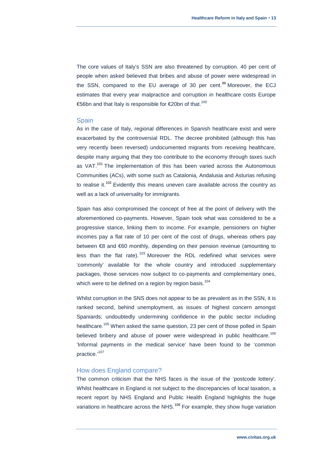The core values of Italy's SSN are also threatened by corruption. 40 per cent of people when asked believed that bribes and abuse of power were widespread in the SSN, compared to the EU average of 30 per cent.<sup>99</sup> Moreover, the ECJ estimates that every year malpractice and corruption in healthcare costs Europe €56bn and that Italy is responsible for €20bn of that.<sup>100</sup>

#### <span id="page-13-0"></span>Spain

As in the case of Italy, regional differences in Spanish healthcare exist and were exacerbated by the controversial RDL. The decree prohibited (although this has very recently been reversed) undocumented migrants from receiving healthcare, despite many arguing that they too contribute to the economy through taxes such as VAT.<sup>101</sup> The implementation of this has been varied across the Autonomous Communities (ACs), with some such as Catalonia, Andalusia and Asturias refusing to realise it. $102$  Evidently this means uneven care available across the country as well as a lack of universality for immigrants.

Spain has also compromised the concept of free at the point of delivery with the aforementioned co-payments. However, Spain took what was considered to be a progressive stance, linking them to income. For example, pensioners on higher incomes pay a flat rate of 10 per cent of the cost of drugs, whereas others pay between €8 and €60 monthly, depending on their pension revenue (amounting to less than the flat rate).  $103$  Moreover the RDL redefined what services were 'commonly' available for the whole country and introduced supplementary packages, those services now subject to co-payments and complementary ones, which were to be defined on a region by region basis. $104$ 

Whilst corruption in the SNS does not appear to be as prevalent as in the SSN, it is ranked second, behind unemployment, as issues of highest concern amongst Spaniards; undoubtedly undermining confidence in the public sector including healthcare.<sup>105</sup> When asked the same question, 23 per cent of those polled in Spain believed bribery and abuse of power were widespread in public healthcare.<sup>106</sup> 'Informal payments in the medical service' have been found to be 'common practice.'<sup>107</sup>

#### <span id="page-13-1"></span>How does England compare?

The common criticism that the NHS faces is the issue of the 'postcode lottery'. Whilst healthcare in England is not subject to the discrepancies of local taxation, a recent report by NHS England and Public Health England highlights the huge variations in healthcare across the NHS.<sup>108</sup> For example, they show huge variation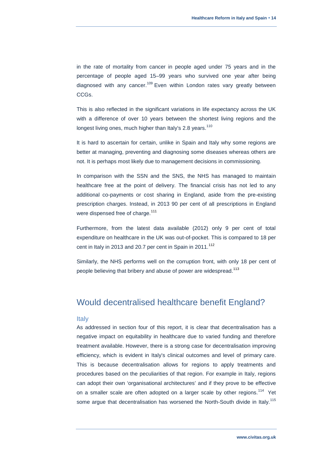in the rate of mortality from cancer in people aged under 75 years and in the percentage of people aged 15–99 years who survived one year after being diagnosed with any cancer.<sup>109</sup> Even within London rates vary greatly between CCGs.

This is also reflected in the significant variations in life expectancy across the UK with a difference of over 10 years between the shortest living regions and the longest living ones, much higher than Italy's 2.8 years.<sup>110</sup>

It is hard to ascertain for certain, unlike in Spain and Italy why some regions are better at managing, preventing and diagnosing some diseases whereas others are not. It is perhaps most likely due to management decisions in commissioning.

In comparison with the SSN and the SNS, the NHS has managed to maintain healthcare free at the point of delivery. The financial crisis has not led to any additional co-payments or cost sharing in England, aside from the pre-existing prescription charges. Instead, in 2013 90 per cent of all prescriptions in England were dispensed free of charge.<sup>111</sup>

Furthermore, from the latest data available (2012) only 9 per cent of total expenditure on healthcare in the UK was out-of-pocket. This is compared to 18 per cent in Italy in 2013 and 20.7 per cent in Spain in  $2011$ .<sup>112</sup>

Similarly, the NHS performs well on the corruption front, with only 18 per cent of people believing that bribery and abuse of power are widespread.<sup>113</sup>

## <span id="page-14-0"></span>Would decentralised healthcare benefit England?

#### <span id="page-14-1"></span>**Italy**

As addressed in section four of this report, it is clear that decentralisation has a negative impact on equitability in healthcare due to varied funding and therefore treatment available. However, there is a strong case for decentralisation improving efficiency, which is evident in Italy's clinical outcomes and level of primary care. This is because decentralisation allows for regions to apply treatments and procedures based on the peculiarities of that region. For example in Italy, regions can adopt their own 'organisational architectures' and if they prove to be effective on a smaller scale are often adopted on a larger scale by other regions. $114$  Yet some argue that decentralisation has worsened the North-South divide in Italy.<sup>115</sup>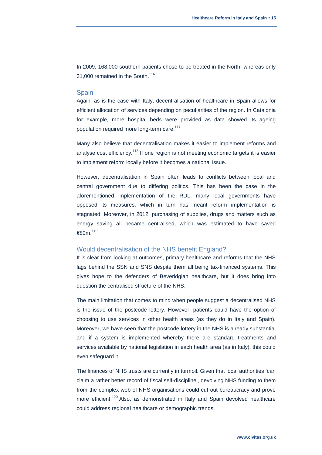In 2009, 168,000 southern patients chose to be treated in the North, whereas only 31,000 remained in the South.<sup>116</sup>

#### <span id="page-15-0"></span>**Spain**

Again, as is the case with Italy, decentralisation of healthcare in Spain allows for efficient allocation of services depending on peculiarities of the region. In Catalonia for example, more hospital beds were provided as data showed its ageing population required more long-term care.<sup>117</sup>

Many also believe that decentralisation makes it easier to implement reforms and analyse cost efficiency.<sup>118</sup> If one region is not meeting economic targets it is easier to implement reform locally before it becomes a national issue.

However, decentralisation in Spain often leads to conflicts between local and central government due to differing politics. This has been the case in the aforementioned implementation of the RDL; many local governments have opposed its measures, which in turn has meant reform implementation is stagnated. Moreover, in 2012, purchasing of supplies, drugs and matters such as energy saving all became centralised, which was estimated to have saved €80m. $^{119}$ 

#### <span id="page-15-1"></span>Would decentralisation of the NHS benefit England?

It is clear from looking at outcomes, primary healthcare and reforms that the NHS lags behind the SSN and SNS despite them all being tax-financed systems. This gives hope to the defenders of Beveridgian healthcare, but it does bring into question the centralised structure of the NHS.

The main limitation that comes to mind when people suggest a decentralised NHS is the issue of the postcode lottery. However, patients could have the option of choosing to use services in other health areas (as they do in Italy and Spain). Moreover, we have seen that the postcode lottery in the NHS is already substantial and if a system is implemented whereby there are standard treatments and services available by national legislation in each health area (as in Italy), this could even safeguard it.

The finances of NHS trusts are currently in turmoil. Given that local authorities 'can claim a rather better record of fiscal self-discipline', devolving NHS funding to them from the complex web of NHS organisations could cut out bureaucracy and prove more efficient.<sup>120</sup> Also, as demonstrated in Italy and Spain devolved healthcare could address regional healthcare or demographic trends.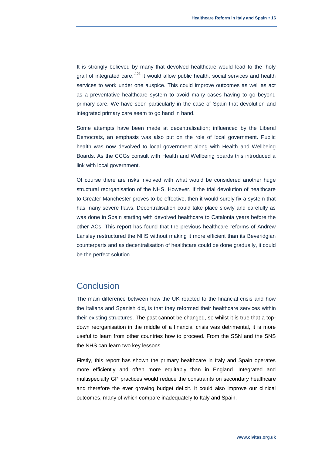It is strongly believed by many that devolved healthcare would lead to the 'holy grail of integrated care.<sup>121</sup> It would allow public health, social services and health services to work under one auspice. This could improve outcomes as well as act as a preventative healthcare system to avoid many cases having to go beyond primary care. We have seen particularly in the case of Spain that devolution and integrated primary care seem to go hand in hand.

Some attempts have been made at decentralisation; influenced by the Liberal Democrats, an emphasis was also put on the role of local government. Public health was now devolved to local government along with Health and Wellbeing Boards. As the CCGs consult with Health and Wellbeing boards this introduced a link with local government.

Of course there are risks involved with what would be considered another huge structural reorganisation of the NHS. However, if the trial devolution of healthcare to Greater Manchester proves to be effective, then it would surely fix a system that has many severe flaws. Decentralisation could take place slowly and carefully as was done in Spain starting with devolved healthcare to Catalonia years before the other ACs. This report has found that the previous healthcare reforms of Andrew Lansley restructured the NHS without making it more efficient than its Beveridgian counterparts and as decentralisation of healthcare could be done gradually, it could be the perfect solution.

## <span id="page-16-0"></span>Conclusion

The main difference between how the UK reacted to the financial crisis and how the Italians and Spanish did, is that they reformed their healthcare services within their existing structures. The past cannot be changed, so whilst it is true that a topdown reorganisation in the middle of a financial crisis was detrimental, it is more useful to learn from other countries how to proceed. From the SSN and the SNS the NHS can learn two key lessons.

Firstly, this report has shown the primary healthcare in Italy and Spain operates more efficiently and often more equitably than in England. Integrated and multispecialty GP practices would reduce the constraints on secondary healthcare and therefore the ever growing budget deficit. It could also improve our clinical outcomes, many of which compare inadequately to Italy and Spain.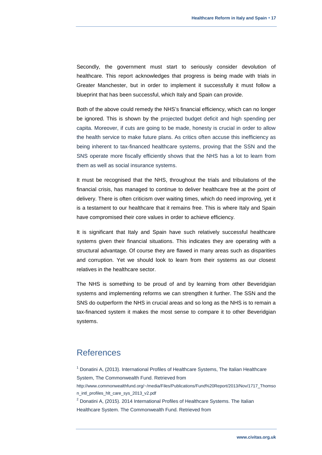Secondly, the government must start to seriously consider devolution of healthcare. This report acknowledges that progress is being made with trials in Greater Manchester, but in order to implement it successfully it must follow a blueprint that has been successful, which Italy and Spain can provide.

Both of the above could remedy the NHS's financial efficiency, which can no longer be ignored. This is shown by the projected budget deficit and high spending per capita. Moreover, if cuts are going to be made, honesty is crucial in order to allow the health service to make future plans. As critics often accuse this inefficiency as being inherent to tax-financed healthcare systems, proving that the SSN and the SNS operate more fiscally efficiently shows that the NHS has a lot to learn from them as well as social insurance systems.

It must be recognised that the NHS, throughout the trials and tribulations of the financial crisis, has managed to continue to deliver healthcare free at the point of delivery. There is often criticism over waiting times, which do need improving, yet it is a testament to our healthcare that it remains free. This is where Italy and Spain have compromised their core values in order to achieve efficiency.

It is significant that Italy and Spain have such relatively successful healthcare systems given their financial situations. This indicates they are operating with a structural advantage. Of course they are flawed in many areas such as disparities and corruption. Yet we should look to learn from their systems as our closest relatives in the healthcare sector.

The NHS is something to be proud of and by learning from other Beveridgian systems and implementing reforms we can strengthen it further. The SSN and the SNS do outperform the NHS in crucial areas and so long as the NHS is to remain a tax-financed system it makes the most sense to compare it to other Beveridgian systems.

# <span id="page-17-0"></span>References

 $1$  Donatini A, (2013). International Profiles of Healthcare Systems, The Italian Healthcare System, The Commonwealth Fund. Retrieved from [http://www.commonwealthfund.org/~/media/Files/Publications/Fund%20Report/2013/Nov/1717\\_Thomso](http://www.commonwealthfund.org/~/media/Files/Publications/Fund%20Report/2013/Nov/1717_Thomson_intl_profiles_hlt_care_sys_2013_v2.pdf) [n\\_intl\\_profiles\\_hlt\\_care\\_sys\\_2013\\_v2.pdf](http://www.commonwealthfund.org/~/media/Files/Publications/Fund%20Report/2013/Nov/1717_Thomson_intl_profiles_hlt_care_sys_2013_v2.pdf)  $2$  Donatini A, (2015). 2014 International Profiles of Healthcare Systems. The Italian

Healthcare System. The Commonwealth Fund. Retrieved from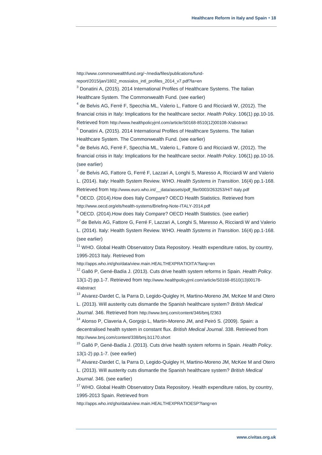[http://www.commonwealthfund.org/~/media/files/publications/fund-](http://www.commonwealthfund.org/~/media/files/publications/fund-report/2015/jan/1802_mossialos_intl_profiles_2014_v7.pdf?la=en)

[report/2015/jan/1802\\_mossialos\\_intl\\_profiles\\_2014\\_v7.pdf?la=en](http://www.commonwealthfund.org/~/media/files/publications/fund-report/2015/jan/1802_mossialos_intl_profiles_2014_v7.pdf?la=en)

<sup>3</sup> Donatini A, (2015). 2014 International Profiles of Healthcare Systems. The Italian Healthcare System. The Commonwealth Fund. (see earlier)

 $^4$  de Belvis AG, Ferré F, Specchia ML, Valerio L, Fattore G and Ricciardi W, (2012). The

financial crisis in Italy: Implications for the healthcare sector. *Health Policy*. 106(1) pp.10-16. Retrieved from [http://www.healthpolicyjrnl.com/article/S0168-8510\(12\)00108-X/abstract](http://www.healthpolicyjrnl.com/article/S0168-8510(12)00108-X/abstract)

<sup>5</sup> Donatini A, (2015). 2014 International Profiles of Healthcare Systems. The Italian Healthcare System. The Commonwealth Fund. (see earlier)

 $^6$  de Belvis AG, Ferré F, Specchia ML, Valerio L, Fattore G and Ricciardi W, (2012). The financial crisis in Italy: Implications for the healthcare sector. *Health Policy*. 106(1) pp.10-16. (see earlier)

 $^7$  de Belvis AG, Fattore G, Ferré F, Lazzari A, Longhi S, Maresso A, Ricciardi W and Valerio L. (2014). Italy: Health System Review. WHO. *Health Systems in Transition*. 16(4) pp.1-168.

Retrieved from http://www.euro.who.int/ data/assets/pdf file/0003/263253/HiT-Italy.pdf

<sup>8</sup> OECD. (2014).How does Italy Compare? OECD Health Statistics. Retrieved from <http://www.oecd.org/els/health-systems/Briefing-Note-ITALY-2014.pdf>

 $9$  OECD. (2014). How does Italy Compare? OECD Health Statistics. (see earlier)

 $10$  de Belvis AG, Fattore G, Ferré F, Lazzari A, Longhi S, Maresso A, Ricciardi W and Valerio

L. (2014). Italy: Health System Review. WHO. *Health Systems in Transition*. 16(4) pp.1-168. (see earlier)

 $11$  WHO. Global Health Observatory Data Repository. Health expenditure ratios, by country, 1995-2013 Italy. Retrieved from

<http://apps.who.int/gho/data/view.main.HEALTHEXPRATIOITA?lang=en>

<sup>12</sup> Galló P, Gené-Badía J. (2013). Cuts drive health system reforms in Spain. *Health Policy*. 13(1-2) pp.1-7. Retrieved from [http://www.healthpolicyjrnl.com/article/S0168-8510\(13\)00178-](http://www.healthpolicyjrnl.com/article/S0168-8510(13)00178-4/abstract) [4/abstract](http://www.healthpolicyjrnl.com/article/S0168-8510(13)00178-4/abstract)

<sup>13</sup> Alvarez-Dardet C, la Parra D, Legido-Quigley H, Martino-Moreno JM, McKee M and Otero L. (2013). Will austerity cuts dismantle the Spanish healthcare system? *British Medical* 

*Journal*. 346. Retrieved from <http://www.bmj.com/content/346/bmj.f2363>

<sup>14</sup> Alonso P, Claveria A, Gorgojo L, Martin-Moreno JM, and Peiró S. (2009). Spain: a decentralised health system in constant flux. *British Medical Journal*. 338. Retrieved from <http://www.bmj.com/content/338/bmj.b1170.short>

<sup>15</sup> Galló P, Gené-Badía J. (2013). Cuts drive health system reforms in Spain. *Health Policy*. 13(1-2) pp.1-7. (see earlier)

<sup>16</sup> Alvarez-Dardet C, la Parra D, Legido-Quigley H, Martino-Moreno JM, McKee M and Otero

L. (2013). Will austerity cuts dismantle the Spanish healthcare system? *British Medical Journal*. 346. (see earlier)

 $17$  WHO. Global Health Observatory Data Repository. Health expenditure ratios, by country, 1995-2013 Spain. Retrieved from

<http://apps.who.int/gho/data/view.main.HEALTHEXPRATIOESP?lang=en>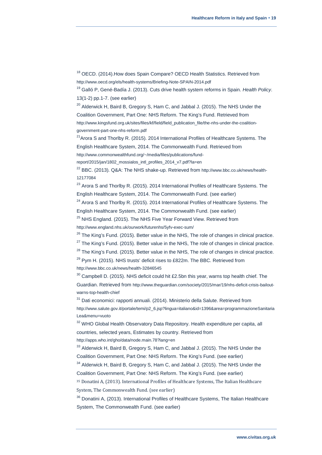<sup>18</sup> OECD. (2014). How does Spain Compare? OECD Health Statistics. Retrieved from <http://www.oecd.org/els/health-systems/Briefing-Note-SPAIN-2014.pdf>

<sup>19</sup> Galló P, Gené-Badía J. (2013). Cuts drive health system reforms in Spain. *Health Policy*. 13(1-2) pp.1-7. (see earlier)

 $20$  Alderwick H, Baird B, Gregory S, Ham C, and Jabbal J. (2015). The NHS Under the Coalition Government, Part One: NHS Reform. The King's Fund. Retrieved from [http://www.kingsfund.org.uk/sites/files/kf/field/field\\_publication\\_file/the-nhs-under-the-coalition](http://www.kingsfund.org.uk/sites/files/kf/field/field_publication_file/the-nhs-under-the-coalition-government-part-one-nhs-reform.pdf)[government-part-one-nhs-reform.pdf](http://www.kingsfund.org.uk/sites/files/kf/field/field_publication_file/the-nhs-under-the-coalition-government-part-one-nhs-reform.pdf)

 $21$ Arora S and Thorlby R. (2015). 2014 International Profiles of Healthcare Systems. The English Healthcare System, 2014. The Commonwealth Fund. Retrieved from

[http://www.commonwealthfund.org/~/media/files/publications/fund-](http://www.commonwealthfund.org/~/media/files/publications/fund-report/2015/jan/1802_mossialos_intl_profiles_2014_v7.pdf?la=en)

report/2015/jan/1802 mossialos intl profiles 2014 v7.pdf?la=en

<sup>22</sup> BBC. (2013). Q&A: The NHS shake-up. Retrieved from [http://www.bbc.co.uk/news/health-](http://www.bbc.co.uk/news/health-12177084)[12177084](http://www.bbc.co.uk/news/health-12177084)

<sup>23</sup> Arora S and Thorlby R. (2015). 2014 International Profiles of Healthcare Systems. The English Healthcare System, 2014. The Commonwealth Fund. (see earlier)

 $24$  Arora S and Thorlby R. (2015). 2014 International Profiles of Healthcare Systems. The English Healthcare System, 2014. The Commonwealth Fund. (see earlier)

<sup>25</sup> NHS England. (2015). The NHS Five Year Forward View. Retrieved from

<http://www.england.nhs.uk/ourwork/futurenhs/5yfv-exec-sum/>

 $26$  The King's Fund. (2015). Better value in the NHS, The role of changes in clinical practice.

 $27$  The King's Fund. (2015). Better value in the NHS, The role of changes in clinical practice.

 $28$  The King's Fund. (2015). Better value in the NHS, The role of changes in clinical practice.

 $29$  Pym H. (2015). NHS trusts' deficit rises to £822m. The BBC. Retrieved from <http://www.bbc.co.uk/news/health-32846545>

 $30$  Campbell D. (2015). NHS deficit could hit £2.5bn this year, warns top health chief. The Guardian. Retrieved from [http://www.theguardian.com/society/2015/mar/19/nhs-deficit-crisis-bailout](http://www.theguardian.com/society/2015/mar/19/nhs-deficit-crisis-bailout-warns-top-health-chief)[warns-top-health-chief](http://www.theguardian.com/society/2015/mar/19/nhs-deficit-crisis-bailout-warns-top-health-chief)

<sup>31</sup> Dati economici: rapporti annuali. (2014). Ministerio della Salute. Retrieved from [http://www.salute.gov.it/portale/temi/p2\\_6.jsp?lingua=italiano&id=1396&area=programmazioneSanitaria](http://www.salute.gov.it/portale/temi/p2_6.jsp?lingua=italiano&id=1396&area=programmazioneSanitariaLea&menu=vuoto) [Lea&menu=vuoto](http://www.salute.gov.it/portale/temi/p2_6.jsp?lingua=italiano&id=1396&area=programmazioneSanitariaLea&menu=vuoto)

<sup>32</sup> WHO Global Health Observatory Data Repository. Health expenditure per capita, all countries, selected years, Estimates by country. Retrieved from

<http://apps.who.int/gho/data/node.main.78?lang=en>

<sup>33</sup> Alderwick H, Baird B, Gregory S, Ham C, and Jabbal J. (2015). The NHS Under the Coalition Government, Part One: NHS Reform. The King's Fund. (see earlier)

<sup>34</sup> Alderwick H, Baird B, Gregory S, Ham C, and Jabbal J. (2015). The NHS Under the Coalition Government, Part One: NHS Reform. The King's Fund. (see earlier)

<sup>35</sup> Donatini A, (2013). International Profiles of Healthcare Systems, The Italian Healthcare System, The Commonwealth Fund. (see earlier)

<sup>36</sup> Donatini A, (2013). International Profiles of Healthcare Systems, The Italian Healthcare System, The Commonwealth Fund. (see earlier)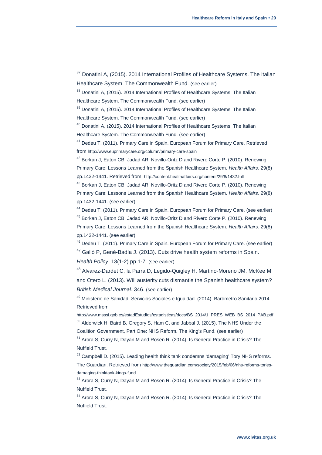<sup>37</sup> Donatini A, (2015). 2014 International Profiles of Healthcare Systems. The Italian Healthcare System. The Commonwealth Fund. (see earlier)

<sup>38</sup> Donatini A, (2015). 2014 International Profiles of Healthcare Systems. The Italian Healthcare System. The Commonwealth Fund. (see earlier)

<sup>39</sup> Donatini A, (2015). 2014 International Profiles of Healthcare Systems. The Italian Healthcare System. The Commonwealth Fund. (see earlier)

<sup>40</sup> Donatini A, (2015). 2014 International Profiles of Healthcare Systems. The Italian Healthcare System. The Commonwealth Fund. (see earlier)

<sup>41</sup> Dedeu T. (2011). Primary Care in Spain. European Forum for Primary Care. Retrieved from <http://www.euprimarycare.org/column/primary-care-spain>

<sup>42</sup> Borkan J, Eaton CB, Jadad AR, Novillo-Oritz D and Rivero Corte P. (2010). Renewing Primary Care: Lessons Learned from the Spanish Healthcare System. *Health Affairs*. 29(8) pp.1432-1441. Retrieved from <http://content.healthaffairs.org/content/29/8/1432.full>

<sup>43</sup> Borkan J, Eaton CB, Jadad AR, Novillo-Oritz D and Rivero Corte P. (2010). Renewing Primary Care: Lessons Learned from the Spanish Healthcare System. *Health Affairs*. 29(8) pp.1432-1441. (see earlier)

<sup>44</sup> Dedeu T. (2011). Primary Care in Spain. European Forum for Primary Care. (see earlier) <sup>45</sup> Borkan J, Eaton CB, Jadad AR, Novillo-Oritz D and Rivero Corte P. (2010). Renewing Primary Care: Lessons Learned from the Spanish Healthcare System. *Health Affairs*. 29(8) pp.1432-1441. (see earlier)

<sup>46</sup> Dedeu T. (2011). Primary Care in Spain. European Forum for Primary Care. (see earlier)  $47$  Galló P, Gené-Badía J. (2013). Cuts drive health system reforms in Spain.

*Health Policy*. 13(1-2) pp.1-7. (see earlier)

<sup>48</sup> Alvarez-Dardet C, la Parra D, Legido-Quigley H, Martino-Moreno JM, McKee M and Otero L. (2013). Will austerity cuts dismantle the Spanish healthcare system? *British Medical Journal*. 346. (see earlier)

<sup>49</sup> Ministerio de Sanidad, Servicios Sociales e Igualdad. (2014). Barómetro Sanitario 2014. Retrieved from

[http://www.msssi.gob.es/estadEstudios/estadisticas/docs/BS\\_2014/1\\_PRES\\_WEB\\_BS\\_2014\\_PAB.pdf](http://www.msssi.gob.es/estadEstudios/estadisticas/docs/BS_2014/1_PRES_WEB_BS_2014_PAB.pdf) <sup>50</sup> Alderwick H, Baird B, Gregory S, Ham C, and Jabbal J. (2015). The NHS Under the

Coalition Government, Part One: NHS Reform. The King's Fund. (see earlier)

<sup>51</sup> Arora S, Curry N, Dayan M and Rosen R. (2014). Is General Practice in Crisis? The Nuffield Trust.

 $52$  Campbell D. (2015). Leading health think tank condemns 'damaging' Tory NHS reforms. The Guardian. Retrieved from [http://www.theguardian.com/society/2015/feb/06/nhs-reforms-tories](http://www.theguardian.com/society/2015/feb/06/nhs-reforms-tories-damaging-thinktank-kings-fund)[damaging-thinktank-kings-fund](http://www.theguardian.com/society/2015/feb/06/nhs-reforms-tories-damaging-thinktank-kings-fund)

<sup>53</sup> Arora S, Curry N, Dayan M and Rosen R. (2014). Is General Practice in Crisis? The Nuffield Trust.

<sup>54</sup> Arora S, Curry N, Dayan M and Rosen R. (2014). Is General Practice in Crisis? The Nuffield Trust.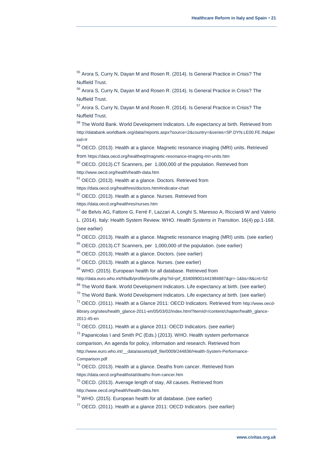<sup>55</sup> Arora S, Curry N, Dayan M and Rosen R. (2014). Is General Practice in Crisis? The Nuffield Trust.

<sup>56</sup> Arora S, Curry N, Dayan M and Rosen R. (2014). Is General Practice in Crisis? The Nuffield Trust.

<sup>57</sup> Arora S, Curry N, Dayan M and Rosen R. (2014). Is General Practice in Crisis? The Nuffield Trust.

<sup>58</sup> The World Bank. World Development Indicators. Life expectancy at birth. Retrieved from [http://databank.worldbank.org/data//reports.aspx?source=2&country=&series=SP.DYN.LE00.FE.IN&per](http://databank.worldbank.org/data/reports.aspx?source=2&country=&series=SP.DYN.LE00.FE.IN&period=) [iod=#](http://databank.worldbank.org/data/reports.aspx?source=2&country=&series=SP.DYN.LE00.FE.IN&period=)

 $59$  OECD. (2013). Health at a glance. Magnetic resonance imaging (MRI) units. Retrieved from <https://data.oecd.org/healtheqt/magnetic-resonance-imaging-mri-units.htm>

<sup>60</sup> OECD. (2013).CT Scanners, per 1,000,000 of the population. Retrieved from <http://www.oecd.org/health/health-data.htm>

 $61$  OECD. (2013). Health at a glance. Doctors. Retrieved from

<https://data.oecd.org/healthres/doctors.htm#indicator-chart>

 $62$  OECD. (2013). Health at a glance. Nurses. Retrieved from

<https://data.oecd.org/healthres/nurses.htm>

<sup>63</sup> de Belvis AG, Fattore G, Ferré F, Lazzari A, Longhi S, Maresso A, Ricciardi W and Valerio L. (2014). Italy: Health System Review. WHO. *Health Systems in Transition*. 16(4) pp.1-168. (see earlier)

 $64$  OECD. (2013). Health at a glance. Magnetic resonance imaging (MRI) units. (see earlier)

 $65$  OECD. (2013).CT Scanners, per 1,000,000 of the population. (see earlier)

<sup>66</sup> OECD. (2013). Health at a glance. Doctors. (see earlier)

 $67$  OECD. (2013). Health at a glance. Nurses. (see earlier)

<sup>68</sup> WHO. (2015). European health for all database. Retrieved from

[http://data.euro.who.int/hfadb/profile/profile.php?id=prf\\_834089001441984887&gr=-1&bs=8&cnt=52](http://data.euro.who.int/hfadb/profile/profile.php?id=prf_834089001441984887&gr=-1&bs=8&cnt=52)

 $69$  The World Bank. World Development Indicators. Life expectancy at birth. (see earlier)

 $70$  The World Bank. World Development Indicators. Life expectancy at birth. (see earlier)

 $71$  OECD. (2011). Health at a Glance 2011: OECD Indicators. Retrieved from [http://www.oecd](http://www.oecd-ilibrary.org/sites/health_glance-2011-en/05/03/02/index.html?itemId=/content/chapter/health_glance-2011-45-en)[ilibrary.org/sites/health\\_glance-2011-en/05/03/02/index.html?itemId=/content/chapter/health\\_glance-](http://www.oecd-ilibrary.org/sites/health_glance-2011-en/05/03/02/index.html?itemId=/content/chapter/health_glance-2011-45-en)[2011-45-en](http://www.oecd-ilibrary.org/sites/health_glance-2011-en/05/03/02/index.html?itemId=/content/chapter/health_glance-2011-45-en)

<sup>72</sup> OECD. (2011). Health at a glance 2011: OECD Indicators. (see earlier)

 $73$  Papanicolas I and Smith PC (Eds.) (2013). WHO. Health system performance

comparison, An agenda for policy, information and research. Retrieved from [http://www.euro.who.int/\\_\\_data/assets/pdf\\_file/0009/244836/Health-System-Performance-](http://www.euro.who.int/__data/assets/pdf_file/0009/244836/Health-System-Performance-Comparison.pdf)[Comparison.pdf](http://www.euro.who.int/__data/assets/pdf_file/0009/244836/Health-System-Performance-Comparison.pdf)

<sup>74</sup> OECD. (2013). Health at a glance. Deaths from cancer. Retrieved from <https://data.oecd.org/healthstat/deaths-from-cancer.htm>

<sup>75</sup> OECD. (2013). Average length of stay, All causes. Retrieved from <http://www.oecd.org/health/health-data.htm>

<sup>76</sup> WHO. (2015). European health for all database. (see earlier)

 $77$  OECD. (2011). Health at a glance 2011: OECD Indicators. (see earlier)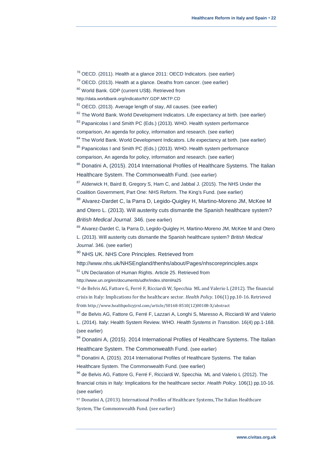<sup>78</sup> OECD. (2011). Health at a glance 2011: OECD Indicators. (see earlier)

 $79$  OECD. (2013). Health at a glance. Deaths from cancer. (see earlier)

80 World Bank. GDP (current US\$). Retrieved from

<http://data.worldbank.org/indicator/NY.GDP.MKTP.CD>

 $81$  OECD. (2013). Average length of stay, All causes. (see earlier)

 $82$  The World Bank. World Development Indicators. Life expectancy at birth. (see earlier)

<sup>83</sup> Papanicolas I and Smith PC (Eds.) (2013). WHO. Health system performance

comparison, An agenda for policy, information and research. (see earlier)

<sup>84</sup> The World Bank. World Development Indicators. Life expectancy at birth. (see earlier)

 $85$  Papanicolas I and Smith PC (Eds.) (2013). WHO. Health system performance

comparison, An agenda for policy, information and research. (see earlier)

<sup>86</sup> Donatini A, (2015). 2014 International Profiles of Healthcare Systems. The Italian Healthcare System. The Commonwealth Fund. (see earlier)

 $87$  Alderwick H, Baird B, Gregory S, Ham C, and Jabbal J. (2015). The NHS Under the Coalition Government, Part One: NHS Reform. The King's Fund. (see earlier)

88 Alvarez-Dardet C, la Parra D, Legido-Quigley H, Martino-Moreno JM, McKee M and Otero L. (2013). Will austerity cuts dismantle the Spanish healthcare system? *British Medical Journal*. 346. (see earlier)

89 Alvarez-Dardet C, la Parra D, Legido-Quigley H, Martino-Moreno JM, McKee M and Otero L. (2013). Will austerity cuts dismantle the Spanish healthcare system? *British Medical Journal*. 346. (see earlier)

<sup>90</sup> NHS UK. NHS Core Principles. Retrieved from

<http://www.nhs.uk/NHSEngland/thenhs/about/Pages/nhscoreprinciples.aspx>

<sup>91</sup> UN Declaration of Human Rights. Article 25. Retrieved from

<http://www.un.org/en/documents/udhr/index.shtml#a25>

<sup>92</sup> de Belvis AG, Fattore G, Ferré F, Ricciardi W, Specchia ML and Valerio L (2012). The financial crisis in Italy: Implications for the healthcare sector. *Health Policy*. 106(1) pp.10-16. Retrieved from [http://www.healthpolicyjrnl.com/article/S0168-8510\(12\)00108-X/abstract](http://www.healthpolicyjrnl.com/article/S0168-8510(12)00108-X/abstract)

93 de Belvis AG, Fattore G, Ferré F, Lazzari A, Longhi S, Maresso A, Ricciardi W and Valerio L. (2014). Italy: Health System Review. WHO. *Health Systems in Transition*. 16(4) pp.1-168. (see earlier)

94 Donatini A, (2015). 2014 International Profiles of Healthcare Systems. The Italian Healthcare System. The Commonwealth Fund. (see earlier)

95 Donatini A, (2015). 2014 International Profiles of Healthcare Systems. The Italian Healthcare System. The Commonwealth Fund. (see earlier)

<sup>96</sup> de Belvis AG, Fattore G, Ferré F, Ricciardi W, Specchia ML and Valerio L (2012). The financial crisis in Italy: Implications for the healthcare sector. *Health Policy*. 106(1) pp.10-16. (see earlier)

<sup>97</sup> Donatini A, (2013). International Profiles of Healthcare Systems, The Italian Healthcare System, The Commonwealth Fund. (see earlier)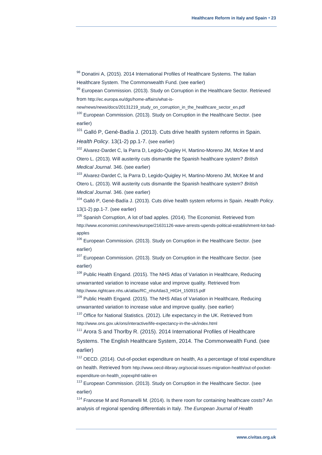98 Donatini A, (2015). 2014 International Profiles of Healthcare Systems. The Italian Healthcare System. The Commonwealth Fund. (see earlier)

 $99$  European Commission. (2013). Study on Corruption in the Healthcare Sector. Retrieved from [http://ec.europa.eu/dgs/home-affairs/what-is-](http://ec.europa.eu/dgs/home-affairs/what-is-new/news/news/docs/20131219_study_on_corruption_in_the_healthcare_sector_en.pdf)

[new/news/news/docs/20131219\\_study\\_on\\_corruption\\_in\\_the\\_healthcare\\_sector\\_en.pdf](http://ec.europa.eu/dgs/home-affairs/what-is-new/news/news/docs/20131219_study_on_corruption_in_the_healthcare_sector_en.pdf)

<sup>100</sup> European Commission. (2013). Study on Corruption in the Healthcare Sector. (see earlier)

<sup>101</sup> Galló P, Gené-Badía J. (2013). Cuts drive health system reforms in Spain. *Health Policy*. 13(1-2) pp.1-7. (see earlier)

<sup>102</sup> Alvarez-Dardet C, la Parra D, Legido-Quigley H, Martino-Moreno JM, McKee M and Otero L. (2013). Will austerity cuts dismantle the Spanish healthcare system? *British Medical Journal*. 346. (see earlier)

<sup>103</sup> Alvarez-Dardet C, la Parra D, Legido-Quigley H, Martino-Moreno JM, McKee M and Otero L. (2013). Will austerity cuts dismantle the Spanish healthcare system? *British Medical Journal*. 346. (see earlier)

<sup>104</sup> Galló P, Gené-Badía J. (2013). Cuts drive health system reforms in Spain. *Health Policy*. 13(1-2) pp.1-7. (see earlier)

 $105$  Spanish Corruption, A lot of bad apples. (2014). The Economist. Retrieved from [http://www.economist.com/news/europe/21631126-wave-arrests-upends-political-establishment-lot-bad](http://www.economist.com/news/europe/21631126-wave-arrests-upends-political-establishment-lot-bad-apples)[apples](http://www.economist.com/news/europe/21631126-wave-arrests-upends-political-establishment-lot-bad-apples)

<sup>106</sup> European Commission. (2013). Study on Corruption in the Healthcare Sector. (see earlier)

<sup>107</sup> European Commission. (2013). Study on Corruption in the Healthcare Sector. (see earlier)

<sup>108</sup> Public Health Engand. (2015). The NHS Atlas of Variation in Healthcare, Reducing unwarranted variation to increase value and improve quality. Retrieved from [http://www.rightcare.nhs.uk/atlas/RC\\_nhsAtlas3\\_HIGH\\_150915.pdf](http://www.rightcare.nhs.uk/atlas/RC_nhsAtlas3_HIGH_150915.pdf)

 $109$  Public Health Engand. (2015). The NHS Atlas of Variation in Healthcare, Reducing unwarranted variation to increase value and improve quality. (see earlier)

<sup>110</sup> Office for National Statistics. (2012). Life expectancy in the UK. Retrieved from <http://www.ons.gov.uk/ons/interactive/life-expectancy-in-the-uk/index.html>

<sup>111</sup> Arora S and Thorlby R. (2015). 2014 International Profiles of Healthcare

Systems. The English Healthcare System, 2014. The Commonwealth Fund. (see earlier)

<sup>112</sup> OECD. (2014). Out-of-pocket expenditure on health, As a percentage of total expenditure on health. Retrieved from [http://www.oecd-ilibrary.org/social-issues-migration-health/out-of-pocket](http://www.oecd-ilibrary.org/social-issues-migration-health/out-of-pocket-expenditure-on-health_oopexphtl-table-en)[expenditure-on-health\\_oopexphtl-table-en](http://www.oecd-ilibrary.org/social-issues-migration-health/out-of-pocket-expenditure-on-health_oopexphtl-table-en)

<sup>113</sup> European Commission. (2013). Study on Corruption in the Healthcare Sector. (see earlier)

<sup>114</sup> Francese M and Romanelli M. (2014). Is there room for containing healthcare costs? An analysis of regional spending differentials in Italy. *The European Journal of Health*